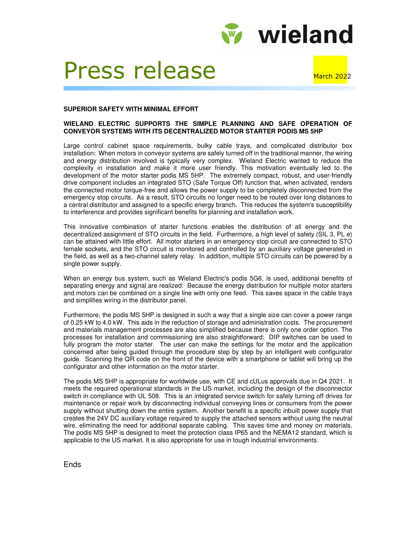

## Press release March 2022

## **SUPERIOR SAFETY WITH MINIMAL EFFORT**

## **WIELAND ELECTRIC SUPPORTS THE SIMPLE PLANNING AND SAFE OPERATION OF CONVEYOR SYSTEMS WITH ITS DECENTRALIZED MOTOR STARTER PODIS MS 5HP**

Large control cabinet space requirements, bulky cable trays, and complicated distributor box installation: When motors in conveyor systems are safely turned off in the traditional manner, the wiring and energy distribution involved is typically very complex. Wieland Electric wanted to reduce the complexity in installation and make it more user friendly. This motivation eventually led to the development of the motor starter podis MS 5HP. The extremely compact, robust, and user-friendly drive component includes an integrated STO (Safe Torque Off) function that, when activated, renders the connected motor torque-free and allows the power supply to be completely disconnected from the emergency stop circuits. As a result, STO circuits no longer need to be routed over long distances to a central distributor and assigned to a specific energy branch. This reduces the system's susceptibility to interference and provides significant benefits for planning and installation work.

This innovative combination of starter functions enables the distribution of all energy and the decentralized assignment of STO circuits in the field. Furthermore, a high level of safety (SIL 3, PL e) can be attained with little effort. All motor starters in an emergency stop circuit are connected to STO female sockets, and the STO circuit is monitored and controlled by an auxiliary voltage generated in the field, as well as a two-channel safety relay. In addition, multiple STO circuits can be powered by a single power supply.

When an energy bus system, such as Wieland Electric's podis 5G6, is used, additional benefits of separating energy and signal are realized: Because the energy distribution for multiple motor starters and motors can be combined on a single line with only one feed. This saves space in the cable trays and simplifies wiring in the distributor panel.

Furthermore, the podis MS 5HP is designed in such a way that a single size can cover a power range of 0.25 kW to 4.0 kW. This aids in the reduction of storage and administration costs. The procurement and materials management processes are also simplified because there is only one order option. The processes for installation and commissioning are also straightforward: DIP switches can be used to fully program the motor starter. The user can make the settings for the motor and the application concerned after being guided through the procedure step by step by an intelligent web configurator guide. Scanning the QR code on the front of the device with a smartphone or tablet will bring up the configurator and other information on the motor starter.

The podis MS 5HP is appropriate for worldwide use, with CE and cULus approvals due in Q4 2021. It meets the required operational standards in the US market, including the design of the disconnector switch in compliance with UL 508. This is an integrated service switch for safely turning off drives for maintenance or repair work by disconnecting individual conveying lines or consumers from the power supply without shutting down the entire system. Another benefit is a specific inbuilt power supply that creates the 24V DC auxiliary voltage required to supply the attached sensors without using the neutral wire, eliminating the need for additional separate cabling. This saves time and money on materials. The podis MS 5HP is designed to meet the protection class IP65 and the NEMA12 standard, which is applicable to the US market. It is also appropriate for use in tough industrial environments.